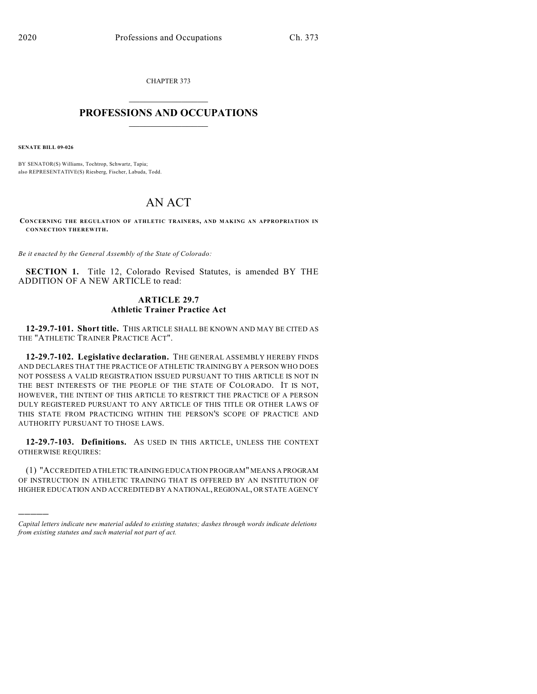CHAPTER 373  $\overline{\phantom{a}}$  . The set of the set of the set of the set of the set of the set of the set of the set of the set of the set of the set of the set of the set of the set of the set of the set of the set of the set of the set o

## **PROFESSIONS AND OCCUPATIONS**  $\frac{1}{2}$  ,  $\frac{1}{2}$  ,  $\frac{1}{2}$  ,  $\frac{1}{2}$  ,  $\frac{1}{2}$  ,  $\frac{1}{2}$

**SENATE BILL 09-026**

)))))

BY SENATOR(S) Williams, Tochtrop, Schwartz, Tapia; also REPRESENTATIVE(S) Riesberg, Fischer, Labuda, Todd.

## AN ACT

**CONCERNING THE REGULATION OF ATHLETIC TRAINERS, AND MAKING AN APPROPRIATION IN CONNECTION THEREWITH.**

*Be it enacted by the General Assembly of the State of Colorado:*

**SECTION 1.** Title 12, Colorado Revised Statutes, is amended BY THE ADDITION OF A NEW ARTICLE to read:

## **ARTICLE 29.7 Athletic Trainer Practice Act**

**12-29.7-101. Short title.** THIS ARTICLE SHALL BE KNOWN AND MAY BE CITED AS THE "ATHLETIC TRAINER PRACTICE ACT".

**12-29.7-102. Legislative declaration.** THE GENERAL ASSEMBLY HEREBY FINDS AND DECLARES THAT THE PRACTICE OF ATHLETIC TRAINING BY A PERSON WHO DOES NOT POSSESS A VALID REGISTRATION ISSUED PURSUANT TO THIS ARTICLE IS NOT IN THE BEST INTERESTS OF THE PEOPLE OF THE STATE OF COLORADO. IT IS NOT, HOWEVER, THE INTENT OF THIS ARTICLE TO RESTRICT THE PRACTICE OF A PERSON DULY REGISTERED PURSUANT TO ANY ARTICLE OF THIS TITLE OR OTHER LAWS OF THIS STATE FROM PRACTICING WITHIN THE PERSON'S SCOPE OF PRACTICE AND AUTHORITY PURSUANT TO THOSE LAWS.

**12-29.7-103. Definitions.** AS USED IN THIS ARTICLE, UNLESS THE CONTEXT OTHERWISE REQUIRES:

(1) "ACCREDITED ATHLETIC TRAINING EDUCATION PROGRAM" MEANS A PROGRAM OF INSTRUCTION IN ATHLETIC TRAINING THAT IS OFFERED BY AN INSTITUTION OF HIGHER EDUCATION AND ACCREDITED BY A NATIONAL, REGIONAL, OR STATE AGENCY

*Capital letters indicate new material added to existing statutes; dashes through words indicate deletions from existing statutes and such material not part of act.*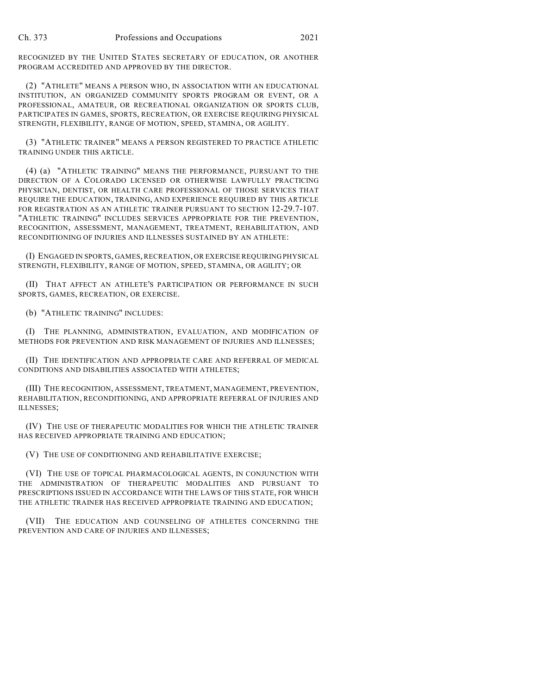RECOGNIZED BY THE UNITED STATES SECRETARY OF EDUCATION, OR ANOTHER PROGRAM ACCREDITED AND APPROVED BY THE DIRECTOR.

(2) "ATHLETE" MEANS A PERSON WHO, IN ASSOCIATION WITH AN EDUCATIONAL INSTITUTION, AN ORGANIZED COMMUNITY SPORTS PROGRAM OR EVENT, OR A PROFESSIONAL, AMATEUR, OR RECREATIONAL ORGANIZATION OR SPORTS CLUB, PARTICIPATES IN GAMES, SPORTS, RECREATION, OR EXERCISE REQUIRING PHYSICAL STRENGTH, FLEXIBILITY, RANGE OF MOTION, SPEED, STAMINA, OR AGILITY.

(3) "ATHLETIC TRAINER" MEANS A PERSON REGISTERED TO PRACTICE ATHLETIC TRAINING UNDER THIS ARTICLE.

(4) (a) "ATHLETIC TRAINING" MEANS THE PERFORMANCE, PURSUANT TO THE DIRECTION OF A COLORADO LICENSED OR OTHERWISE LAWFULLY PRACTICING PHYSICIAN, DENTIST, OR HEALTH CARE PROFESSIONAL OF THOSE SERVICES THAT REQUIRE THE EDUCATION, TRAINING, AND EXPERIENCE REQUIRED BY THIS ARTICLE FOR REGISTRATION AS AN ATHLETIC TRAINER PURSUANT TO SECTION 12-29.7-107. "ATHLETIC TRAINING" INCLUDES SERVICES APPROPRIATE FOR THE PREVENTION, RECOGNITION, ASSESSMENT, MANAGEMENT, TREATMENT, REHABILITATION, AND RECONDITIONING OF INJURIES AND ILLNESSES SUSTAINED BY AN ATHLETE:

(I) ENGAGED IN SPORTS, GAMES, RECREATION, OR EXERCISE REQUIRING PHYSICAL STRENGTH, FLEXIBILITY, RANGE OF MOTION, SPEED, STAMINA, OR AGILITY; OR

(II) THAT AFFECT AN ATHLETE'S PARTICIPATION OR PERFORMANCE IN SUCH SPORTS, GAMES, RECREATION, OR EXERCISE.

(b) "ATHLETIC TRAINING" INCLUDES:

(I) THE PLANNING, ADMINISTRATION, EVALUATION, AND MODIFICATION OF METHODS FOR PREVENTION AND RISK MANAGEMENT OF INJURIES AND ILLNESSES;

(II) THE IDENTIFICATION AND APPROPRIATE CARE AND REFERRAL OF MEDICAL CONDITIONS AND DISABILITIES ASSOCIATED WITH ATHLETES;

(III) THE RECOGNITION, ASSESSMENT, TREATMENT, MANAGEMENT, PREVENTION, REHABILITATION, RECONDITIONING, AND APPROPRIATE REFERRAL OF INJURIES AND ILLNESSES;

(IV) THE USE OF THERAPEUTIC MODALITIES FOR WHICH THE ATHLETIC TRAINER HAS RECEIVED APPROPRIATE TRAINING AND EDUCATION;

(V) THE USE OF CONDITIONING AND REHABILITATIVE EXERCISE;

(VI) THE USE OF TOPICAL PHARMACOLOGICAL AGENTS, IN CONJUNCTION WITH THE ADMINISTRATION OF THERAPEUTIC MODALITIES AND PURSUANT TO PRESCRIPTIONS ISSUED IN ACCORDANCE WITH THE LAWS OF THIS STATE, FOR WHICH THE ATHLETIC TRAINER HAS RECEIVED APPROPRIATE TRAINING AND EDUCATION;

(VII) THE EDUCATION AND COUNSELING OF ATHLETES CONCERNING THE PREVENTION AND CARE OF INJURIES AND ILLNESSES;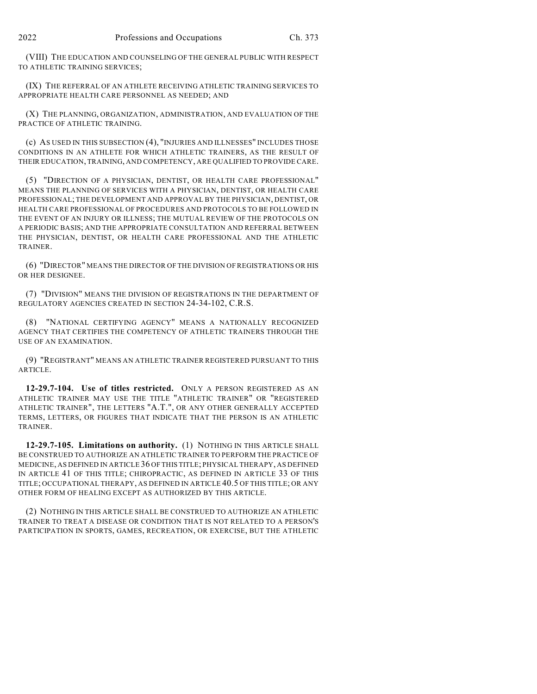(VIII) THE EDUCATION AND COUNSELING OF THE GENERAL PUBLIC WITH RESPECT TO ATHLETIC TRAINING SERVICES;

(IX) THE REFERRAL OF AN ATHLETE RECEIVING ATHLETIC TRAINING SERVICES TO APPROPRIATE HEALTH CARE PERSONNEL AS NEEDED; AND

(X) THE PLANNING, ORGANIZATION, ADMINISTRATION, AND EVALUATION OF THE PRACTICE OF ATHLETIC TRAINING.

(c) AS USED IN THIS SUBSECTION (4), "INJURIES AND ILLNESSES" INCLUDES THOSE CONDITIONS IN AN ATHLETE FOR WHICH ATHLETIC TRAINERS, AS THE RESULT OF THEIR EDUCATION, TRAINING, AND COMPETENCY, ARE QUALIFIED TO PROVIDE CARE.

(5) "DIRECTION OF A PHYSICIAN, DENTIST, OR HEALTH CARE PROFESSIONAL" MEANS THE PLANNING OF SERVICES WITH A PHYSICIAN, DENTIST, OR HEALTH CARE PROFESSIONAL; THE DEVELOPMENT AND APPROVAL BY THE PHYSICIAN, DENTIST, OR HEALTH CARE PROFESSIONAL OF PROCEDURES AND PROTOCOLS TO BE FOLLOWED IN THE EVENT OF AN INJURY OR ILLNESS; THE MUTUAL REVIEW OF THE PROTOCOLS ON A PERIODIC BASIS; AND THE APPROPRIATE CONSULTATION AND REFERRAL BETWEEN THE PHYSICIAN, DENTIST, OR HEALTH CARE PROFESSIONAL AND THE ATHLETIC TRAINER.

(6) "DIRECTOR" MEANS THE DIRECTOR OF THE DIVISION OF REGISTRATIONS OR HIS OR HER DESIGNEE.

(7) "DIVISION" MEANS THE DIVISION OF REGISTRATIONS IN THE DEPARTMENT OF REGULATORY AGENCIES CREATED IN SECTION 24-34-102, C.R.S.

(8) "NATIONAL CERTIFYING AGENCY" MEANS A NATIONALLY RECOGNIZED AGENCY THAT CERTIFIES THE COMPETENCY OF ATHLETIC TRAINERS THROUGH THE USE OF AN EXAMINATION.

(9) "REGISTRANT" MEANS AN ATHLETIC TRAINER REGISTERED PURSUANT TO THIS ARTICLE.

**12-29.7-104. Use of titles restricted.** ONLY A PERSON REGISTERED AS AN ATHLETIC TRAINER MAY USE THE TITLE "ATHLETIC TRAINER" OR "REGISTERED ATHLETIC TRAINER", THE LETTERS "A.T.", OR ANY OTHER GENERALLY ACCEPTED TERMS, LETTERS, OR FIGURES THAT INDICATE THAT THE PERSON IS AN ATHLETIC TRAINER.

**12-29.7-105. Limitations on authority.** (1) NOTHING IN THIS ARTICLE SHALL BE CONSTRUED TO AUTHORIZE AN ATHLETIC TRAINER TO PERFORM THE PRACTICE OF MEDICINE, AS DEFINED IN ARTICLE 36 OF THIS TITLE; PHYSICAL THERAPY, AS DEFINED IN ARTICLE 41 OF THIS TITLE; CHIROPRACTIC, AS DEFINED IN ARTICLE 33 OF THIS TITLE; OCCUPATIONAL THERAPY, AS DEFINED IN ARTICLE 40.5 OF THIS TITLE; OR ANY OTHER FORM OF HEALING EXCEPT AS AUTHORIZED BY THIS ARTICLE.

(2) NOTHING IN THIS ARTICLE SHALL BE CONSTRUED TO AUTHORIZE AN ATHLETIC TRAINER TO TREAT A DISEASE OR CONDITION THAT IS NOT RELATED TO A PERSON'S PARTICIPATION IN SPORTS, GAMES, RECREATION, OR EXERCISE, BUT THE ATHLETIC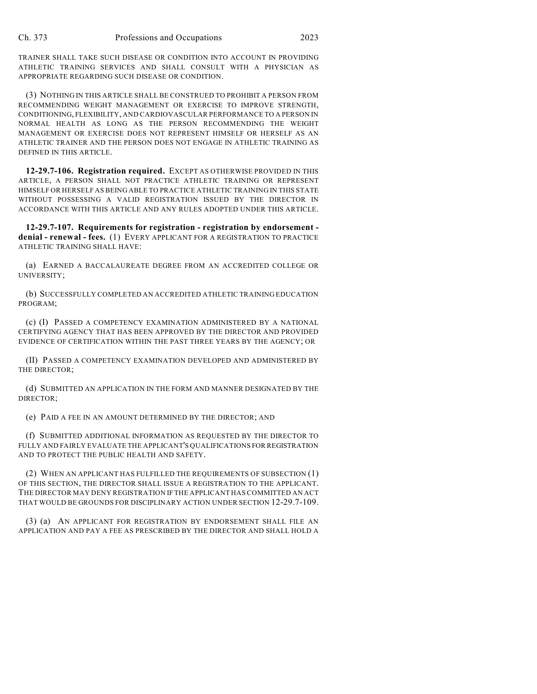TRAINER SHALL TAKE SUCH DISEASE OR CONDITION INTO ACCOUNT IN PROVIDING ATHLETIC TRAINING SERVICES AND SHALL CONSULT WITH A PHYSICIAN AS APPROPRIATE REGARDING SUCH DISEASE OR CONDITION.

(3) NOTHING IN THIS ARTICLE SHALL BE CONSTRUED TO PROHIBIT A PERSON FROM RECOMMENDING WEIGHT MANAGEMENT OR EXERCISE TO IMPROVE STRENGTH, CONDITIONING, FLEXIBILITY, AND CARDIOVASCULAR PERFORMANCE TO A PERSON IN NORMAL HEALTH AS LONG AS THE PERSON RECOMMENDING THE WEIGHT MANAGEMENT OR EXERCISE DOES NOT REPRESENT HIMSELF OR HERSELF AS AN ATHLETIC TRAINER AND THE PERSON DOES NOT ENGAGE IN ATHLETIC TRAINING AS DEFINED IN THIS ARTICLE.

**12-29.7-106. Registration required.** EXCEPT AS OTHERWISE PROVIDED IN THIS ARTICLE, A PERSON SHALL NOT PRACTICE ATHLETIC TRAINING OR REPRESENT HIMSELF OR HERSELF AS BEING ABLE TO PRACTICE ATHLETIC TRAINING IN THIS STATE WITHOUT POSSESSING A VALID REGISTRATION ISSUED BY THE DIRECTOR IN ACCORDANCE WITH THIS ARTICLE AND ANY RULES ADOPTED UNDER THIS ARTICLE.

**12-29.7-107. Requirements for registration - registration by endorsement denial - renewal - fees.** (1) EVERY APPLICANT FOR A REGISTRATION TO PRACTICE ATHLETIC TRAINING SHALL HAVE:

(a) EARNED A BACCALAUREATE DEGREE FROM AN ACCREDITED COLLEGE OR UNIVERSITY;

(b) SUCCESSFULLY COMPLETED AN ACCREDITED ATHLETIC TRAINING EDUCATION PROGRAM;

(c) (I) PASSED A COMPETENCY EXAMINATION ADMINISTERED BY A NATIONAL CERTIFYING AGENCY THAT HAS BEEN APPROVED BY THE DIRECTOR AND PROVIDED EVIDENCE OF CERTIFICATION WITHIN THE PAST THREE YEARS BY THE AGENCY; OR

(II) PASSED A COMPETENCY EXAMINATION DEVELOPED AND ADMINISTERED BY THE DIRECTOR;

(d) SUBMITTED AN APPLICATION IN THE FORM AND MANNER DESIGNATED BY THE DIRECTOR;

(e) PAID A FEE IN AN AMOUNT DETERMINED BY THE DIRECTOR; AND

(f) SUBMITTED ADDITIONAL INFORMATION AS REQUESTED BY THE DIRECTOR TO FULLY AND FAIRLY EVALUATE THE APPLICANT'S QUALIFICATIONS FOR REGISTRATION AND TO PROTECT THE PUBLIC HEALTH AND SAFETY.

(2) WHEN AN APPLICANT HAS FULFILLED THE REQUIREMENTS OF SUBSECTION (1) OF THIS SECTION, THE DIRECTOR SHALL ISSUE A REGISTRATION TO THE APPLICANT. THE DIRECTOR MAY DENY REGISTRATION IF THE APPLICANT HAS COMMITTED AN ACT THAT WOULD BE GROUNDS FOR DISCIPLINARY ACTION UNDER SECTION 12-29.7-109.

(3) (a) AN APPLICANT FOR REGISTRATION BY ENDORSEMENT SHALL FILE AN APPLICATION AND PAY A FEE AS PRESCRIBED BY THE DIRECTOR AND SHALL HOLD A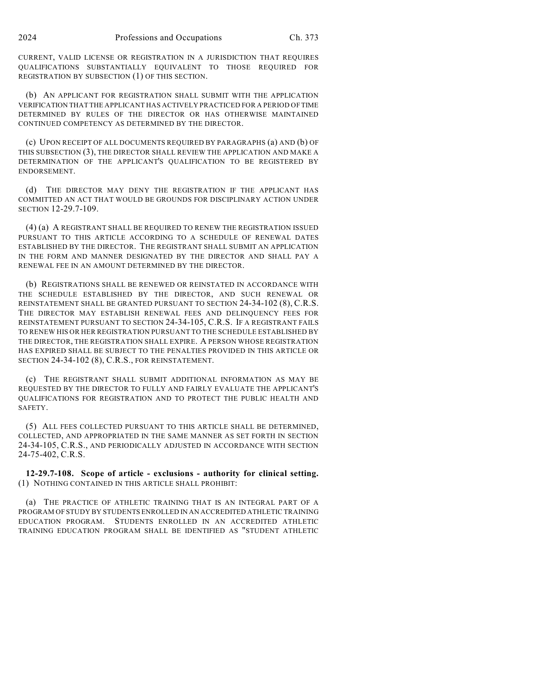CURRENT, VALID LICENSE OR REGISTRATION IN A JURISDICTION THAT REQUIRES QUALIFICATIONS SUBSTANTIALLY EQUIVALENT TO THOSE REQUIRED FOR REGISTRATION BY SUBSECTION (1) OF THIS SECTION.

(b) AN APPLICANT FOR REGISTRATION SHALL SUBMIT WITH THE APPLICATION VERIFICATION THAT THE APPLICANT HAS ACTIVELY PRACTICED FOR A PERIOD OF TIME DETERMINED BY RULES OF THE DIRECTOR OR HAS OTHERWISE MAINTAINED CONTINUED COMPETENCY AS DETERMINED BY THE DIRECTOR.

(c) UPON RECEIPT OF ALL DOCUMENTS REQUIRED BY PARAGRAPHS (a) AND (b) OF THIS SUBSECTION (3), THE DIRECTOR SHALL REVIEW THE APPLICATION AND MAKE A DETERMINATION OF THE APPLICANT'S QUALIFICATION TO BE REGISTERED BY ENDORSEMENT.

(d) THE DIRECTOR MAY DENY THE REGISTRATION IF THE APPLICANT HAS COMMITTED AN ACT THAT WOULD BE GROUNDS FOR DISCIPLINARY ACTION UNDER SECTION 12-29.7-109.

(4) (a) A REGISTRANT SHALL BE REQUIRED TO RENEW THE REGISTRATION ISSUED PURSUANT TO THIS ARTICLE ACCORDING TO A SCHEDULE OF RENEWAL DATES ESTABLISHED BY THE DIRECTOR. THE REGISTRANT SHALL SUBMIT AN APPLICATION IN THE FORM AND MANNER DESIGNATED BY THE DIRECTOR AND SHALL PAY A RENEWAL FEE IN AN AMOUNT DETERMINED BY THE DIRECTOR.

(b) REGISTRATIONS SHALL BE RENEWED OR REINSTATED IN ACCORDANCE WITH THE SCHEDULE ESTABLISHED BY THE DIRECTOR, AND SUCH RENEWAL OR REINSTATEMENT SHALL BE GRANTED PURSUANT TO SECTION 24-34-102 (8), C.R.S. THE DIRECTOR MAY ESTABLISH RENEWAL FEES AND DELINQUENCY FEES FOR REINSTATEMENT PURSUANT TO SECTION 24-34-105, C.R.S. IF A REGISTRANT FAILS TO RENEW HIS OR HER REGISTRATION PURSUANT TO THE SCHEDULE ESTABLISHED BY THE DIRECTOR, THE REGISTRATION SHALL EXPIRE. A PERSON WHOSE REGISTRATION HAS EXPIRED SHALL BE SUBJECT TO THE PENALTIES PROVIDED IN THIS ARTICLE OR SECTION 24-34-102 (8), C.R.S., FOR REINSTATEMENT.

(c) THE REGISTRANT SHALL SUBMIT ADDITIONAL INFORMATION AS MAY BE REQUESTED BY THE DIRECTOR TO FULLY AND FAIRLY EVALUATE THE APPLICANT'S QUALIFICATIONS FOR REGISTRATION AND TO PROTECT THE PUBLIC HEALTH AND SAFETY.

(5) ALL FEES COLLECTED PURSUANT TO THIS ARTICLE SHALL BE DETERMINED, COLLECTED, AND APPROPRIATED IN THE SAME MANNER AS SET FORTH IN SECTION 24-34-105, C.R.S., AND PERIODICALLY ADJUSTED IN ACCORDANCE WITH SECTION 24-75-402, C.R.S.

**12-29.7-108. Scope of article - exclusions - authority for clinical setting.** (1) NOTHING CONTAINED IN THIS ARTICLE SHALL PROHIBIT:

(a) THE PRACTICE OF ATHLETIC TRAINING THAT IS AN INTEGRAL PART OF A PROGRAM OF STUDY BY STUDENTS ENROLLED IN AN ACCREDITED ATHLETIC TRAINING EDUCATION PROGRAM. STUDENTS ENROLLED IN AN ACCREDITED ATHLETIC TRAINING EDUCATION PROGRAM SHALL BE IDENTIFIED AS "STUDENT ATHLETIC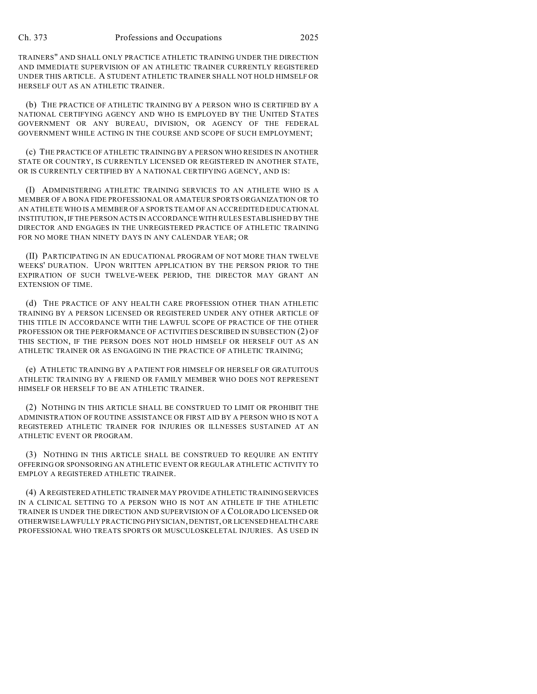TRAINERS" AND SHALL ONLY PRACTICE ATHLETIC TRAINING UNDER THE DIRECTION AND IMMEDIATE SUPERVISION OF AN ATHLETIC TRAINER CURRENTLY REGISTERED UNDER THIS ARTICLE. A STUDENT ATHLETIC TRAINER SHALL NOT HOLD HIMSELF OR HERSELF OUT AS AN ATHLETIC TRAINER.

(b) THE PRACTICE OF ATHLETIC TRAINING BY A PERSON WHO IS CERTIFIED BY A NATIONAL CERTIFYING AGENCY AND WHO IS EMPLOYED BY THE UNITED STATES GOVERNMENT OR ANY BUREAU, DIVISION, OR AGENCY OF THE FEDERAL GOVERNMENT WHILE ACTING IN THE COURSE AND SCOPE OF SUCH EMPLOYMENT;

(c) THE PRACTICE OF ATHLETIC TRAINING BY A PERSON WHO RESIDES IN ANOTHER STATE OR COUNTRY, IS CURRENTLY LICENSED OR REGISTERED IN ANOTHER STATE, OR IS CURRENTLY CERTIFIED BY A NATIONAL CERTIFYING AGENCY, AND IS:

(I) ADMINISTERING ATHLETIC TRAINING SERVICES TO AN ATHLETE WHO IS A MEMBER OF A BONA FIDE PROFESSIONAL OR AMATEUR SPORTS ORGANIZATION OR TO AN ATHLETE WHO IS A MEMBER OF A SPORTS TEAM OF AN ACCREDITED EDUCATIONAL INSTITUTION, IF THE PERSON ACTS IN ACCORDANCE WITH RULES ESTABLISHED BY THE DIRECTOR AND ENGAGES IN THE UNREGISTERED PRACTICE OF ATHLETIC TRAINING FOR NO MORE THAN NINETY DAYS IN ANY CALENDAR YEAR; OR

(II) PARTICIPATING IN AN EDUCATIONAL PROGRAM OF NOT MORE THAN TWELVE WEEKS' DURATION. UPON WRITTEN APPLICATION BY THE PERSON PRIOR TO THE EXPIRATION OF SUCH TWELVE-WEEK PERIOD, THE DIRECTOR MAY GRANT AN EXTENSION OF TIME.

(d) THE PRACTICE OF ANY HEALTH CARE PROFESSION OTHER THAN ATHLETIC TRAINING BY A PERSON LICENSED OR REGISTERED UNDER ANY OTHER ARTICLE OF THIS TITLE IN ACCORDANCE WITH THE LAWFUL SCOPE OF PRACTICE OF THE OTHER PROFESSION OR THE PERFORMANCE OF ACTIVITIES DESCRIBED IN SUBSECTION (2) OF THIS SECTION, IF THE PERSON DOES NOT HOLD HIMSELF OR HERSELF OUT AS AN ATHLETIC TRAINER OR AS ENGAGING IN THE PRACTICE OF ATHLETIC TRAINING;

(e) ATHLETIC TRAINING BY A PATIENT FOR HIMSELF OR HERSELF OR GRATUITOUS ATHLETIC TRAINING BY A FRIEND OR FAMILY MEMBER WHO DOES NOT REPRESENT HIMSELF OR HERSELF TO BE AN ATHLETIC TRAINER.

(2) NOTHING IN THIS ARTICLE SHALL BE CONSTRUED TO LIMIT OR PROHIBIT THE ADMINISTRATION OF ROUTINE ASSISTANCE OR FIRST AID BY A PERSON WHO IS NOT A REGISTERED ATHLETIC TRAINER FOR INJURIES OR ILLNESSES SUSTAINED AT AN ATHLETIC EVENT OR PROGRAM.

(3) NOTHING IN THIS ARTICLE SHALL BE CONSTRUED TO REQUIRE AN ENTITY OFFERING OR SPONSORING AN ATHLETIC EVENT OR REGULAR ATHLETIC ACTIVITY TO EMPLOY A REGISTERED ATHLETIC TRAINER.

(4) A REGISTERED ATHLETIC TRAINER MAY PROVIDE ATHLETIC TRAINING SERVICES IN A CLINICAL SETTING TO A PERSON WHO IS NOT AN ATHLETE IF THE ATHLETIC TRAINER IS UNDER THE DIRECTION AND SUPERVISION OF A COLORADO LICENSED OR OTHERWISE LAWFULLY PRACTICING PHYSICIAN, DENTIST, OR LICENSED HEALTH CARE PROFESSIONAL WHO TREATS SPORTS OR MUSCULOSKELETAL INJURIES. AS USED IN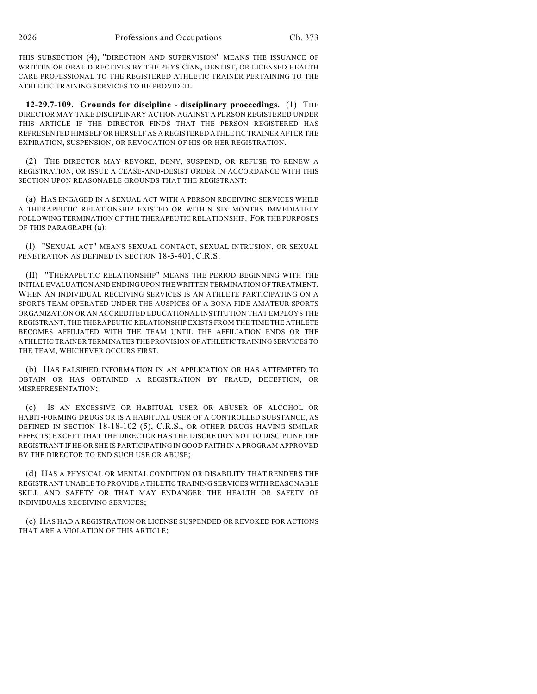THIS SUBSECTION (4), "DIRECTION AND SUPERVISION" MEANS THE ISSUANCE OF WRITTEN OR ORAL DIRECTIVES BY THE PHYSICIAN, DENTIST, OR LICENSED HEALTH CARE PROFESSIONAL TO THE REGISTERED ATHLETIC TRAINER PERTAINING TO THE ATHLETIC TRAINING SERVICES TO BE PROVIDED.

**12-29.7-109. Grounds for discipline - disciplinary proceedings.** (1) THE DIRECTOR MAY TAKE DISCIPLINARY ACTION AGAINST A PERSON REGISTERED UNDER THIS ARTICLE IF THE DIRECTOR FINDS THAT THE PERSON REGISTERED HAS REPRESENTED HIMSELF OR HERSELF AS A REGISTERED ATHLETIC TRAINER AFTER THE EXPIRATION, SUSPENSION, OR REVOCATION OF HIS OR HER REGISTRATION.

(2) THE DIRECTOR MAY REVOKE, DENY, SUSPEND, OR REFUSE TO RENEW A REGISTRATION, OR ISSUE A CEASE-AND-DESIST ORDER IN ACCORDANCE WITH THIS SECTION UPON REASONABLE GROUNDS THAT THE REGISTRANT:

(a) HAS ENGAGED IN A SEXUAL ACT WITH A PERSON RECEIVING SERVICES WHILE A THERAPEUTIC RELATIONSHIP EXISTED OR WITHIN SIX MONTHS IMMEDIATELY FOLLOWING TERMINATION OF THE THERAPEUTIC RELATIONSHIP. FOR THE PURPOSES OF THIS PARAGRAPH (a):

(I) "SEXUAL ACT" MEANS SEXUAL CONTACT, SEXUAL INTRUSION, OR SEXUAL PENETRATION AS DEFINED IN SECTION 18-3-401, C.R.S.

(II) "THERAPEUTIC RELATIONSHIP" MEANS THE PERIOD BEGINNING WITH THE INITIAL EVALUATION AND ENDING UPON THE WRITTEN TERMINATION OF TREATMENT. WHEN AN INDIVIDUAL RECEIVING SERVICES IS AN ATHLETE PARTICIPATING ON A SPORTS TEAM OPERATED UNDER THE AUSPICES OF A BONA FIDE AMATEUR SPORTS ORGANIZATION OR AN ACCREDITED EDUCATIONAL INSTITUTION THAT EMPLOYS THE REGISTRANT, THE THERAPEUTIC RELATIONSHIP EXISTS FROM THE TIME THE ATHLETE BECOMES AFFILIATED WITH THE TEAM UNTIL THE AFFILIATION ENDS OR THE ATHLETIC TRAINER TERMINATES THE PROVISION OF ATHLETIC TRAINING SERVICES TO THE TEAM, WHICHEVER OCCURS FIRST.

(b) HAS FALSIFIED INFORMATION IN AN APPLICATION OR HAS ATTEMPTED TO OBTAIN OR HAS OBTAINED A REGISTRATION BY FRAUD, DECEPTION, OR MISREPRESENTATION;

(c) IS AN EXCESSIVE OR HABITUAL USER OR ABUSER OF ALCOHOL OR HABIT-FORMING DRUGS OR IS A HABITUAL USER OF A CONTROLLED SUBSTANCE, AS DEFINED IN SECTION 18-18-102 (5), C.R.S., OR OTHER DRUGS HAVING SIMILAR EFFECTS; EXCEPT THAT THE DIRECTOR HAS THE DISCRETION NOT TO DISCIPLINE THE REGISTRANT IF HE OR SHE IS PARTICIPATING IN GOOD FAITH IN A PROGRAM APPROVED BY THE DIRECTOR TO END SUCH USE OR ABUSE;

(d) HAS A PHYSICAL OR MENTAL CONDITION OR DISABILITY THAT RENDERS THE REGISTRANT UNABLE TO PROVIDE ATHLETIC TRAINING SERVICES WITH REASONABLE SKILL AND SAFETY OR THAT MAY ENDANGER THE HEALTH OR SAFETY OF INDIVIDUALS RECEIVING SERVICES;

(e) HAS HAD A REGISTRATION OR LICENSE SUSPENDED OR REVOKED FOR ACTIONS THAT ARE A VIOLATION OF THIS ARTICLE;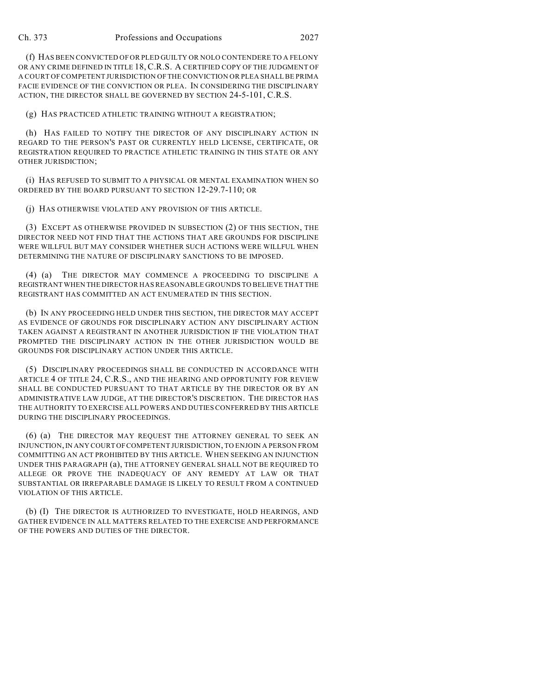(f) HAS BEEN CONVICTED OF OR PLED GUILTY OR NOLO CONTENDERE TO A FELONY OR ANY CRIME DEFINED IN TITLE 18, C.R.S. A CERTIFIED COPY OF THE JUDGMENT OF A COURT OF COMPETENT JURISDICTION OF THE CONVICTION OR PLEA SHALL BE PRIMA FACIE EVIDENCE OF THE CONVICTION OR PLEA. IN CONSIDERING THE DISCIPLINARY ACTION, THE DIRECTOR SHALL BE GOVERNED BY SECTION 24-5-101, C.R.S.

(g) HAS PRACTICED ATHLETIC TRAINING WITHOUT A REGISTRATION;

(h) HAS FAILED TO NOTIFY THE DIRECTOR OF ANY DISCIPLINARY ACTION IN REGARD TO THE PERSON'S PAST OR CURRENTLY HELD LICENSE, CERTIFICATE, OR REGISTRATION REQUIRED TO PRACTICE ATHLETIC TRAINING IN THIS STATE OR ANY OTHER JURISDICTION;

(i) HAS REFUSED TO SUBMIT TO A PHYSICAL OR MENTAL EXAMINATION WHEN SO ORDERED BY THE BOARD PURSUANT TO SECTION 12-29.7-110; OR

(j) HAS OTHERWISE VIOLATED ANY PROVISION OF THIS ARTICLE.

(3) EXCEPT AS OTHERWISE PROVIDED IN SUBSECTION (2) OF THIS SECTION, THE DIRECTOR NEED NOT FIND THAT THE ACTIONS THAT ARE GROUNDS FOR DISCIPLINE WERE WILLFUL BUT MAY CONSIDER WHETHER SUCH ACTIONS WERE WILLFUL WHEN DETERMINING THE NATURE OF DISCIPLINARY SANCTIONS TO BE IMPOSED.

(4) (a) THE DIRECTOR MAY COMMENCE A PROCEEDING TO DISCIPLINE A REGISTRANT WHEN THE DIRECTOR HAS REASONABLE GROUNDS TO BELIEVE THAT THE REGISTRANT HAS COMMITTED AN ACT ENUMERATED IN THIS SECTION.

(b) IN ANY PROCEEDING HELD UNDER THIS SECTION, THE DIRECTOR MAY ACCEPT AS EVIDENCE OF GROUNDS FOR DISCIPLINARY ACTION ANY DISCIPLINARY ACTION TAKEN AGAINST A REGISTRANT IN ANOTHER JURISDICTION IF THE VIOLATION THAT PROMPTED THE DISCIPLINARY ACTION IN THE OTHER JURISDICTION WOULD BE GROUNDS FOR DISCIPLINARY ACTION UNDER THIS ARTICLE.

(5) DISCIPLINARY PROCEEDINGS SHALL BE CONDUCTED IN ACCORDANCE WITH ARTICLE 4 OF TITLE 24, C.R.S., AND THE HEARING AND OPPORTUNITY FOR REVIEW SHALL BE CONDUCTED PURSUANT TO THAT ARTICLE BY THE DIRECTOR OR BY AN ADMINISTRATIVE LAW JUDGE, AT THE DIRECTOR'S DISCRETION. THE DIRECTOR HAS THE AUTHORITY TO EXERCISE ALL POWERS AND DUTIES CONFERRED BY THIS ARTICLE DURING THE DISCIPLINARY PROCEEDINGS.

(6) (a) THE DIRECTOR MAY REQUEST THE ATTORNEY GENERAL TO SEEK AN INJUNCTION, IN ANY COURT OF COMPETENT JURISDICTION, TO ENJOIN A PERSON FROM COMMITTING AN ACT PROHIBITED BY THIS ARTICLE. WHEN SEEKING AN INJUNCTION UNDER THIS PARAGRAPH (a), THE ATTORNEY GENERAL SHALL NOT BE REQUIRED TO ALLEGE OR PROVE THE INADEQUACY OF ANY REMEDY AT LAW OR THAT SUBSTANTIAL OR IRREPARABLE DAMAGE IS LIKELY TO RESULT FROM A CONTINUED VIOLATION OF THIS ARTICLE.

(b) (I) THE DIRECTOR IS AUTHORIZED TO INVESTIGATE, HOLD HEARINGS, AND GATHER EVIDENCE IN ALL MATTERS RELATED TO THE EXERCISE AND PERFORMANCE OF THE POWERS AND DUTIES OF THE DIRECTOR.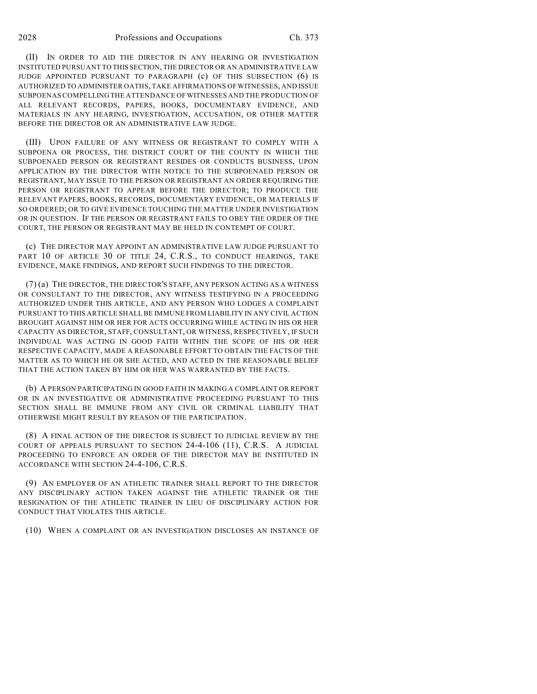(II) IN ORDER TO AID THE DIRECTOR IN ANY HEARING OR INVESTIGATION INSTITUTED PURSUANT TO THIS SECTION, THE DIRECTOR OR AN ADMINISTRATIVE LAW JUDGE APPOINTED PURSUANT TO PARAGRAPH (c) OF THIS SUBSECTION (6) IS AUTHORIZED TO ADMINISTER OATHS, TAKE AFFIRMATIONS OF WITNESSES, AND ISSUE SUBPOENAS COMPELLING THE ATTENDANCE OF WITNESSES AND THE PRODUCTION OF ALL RELEVANT RECORDS, PAPERS, BOOKS, DOCUMENTARY EVIDENCE, AND MATERIALS IN ANY HEARING, INVESTIGATION, ACCUSATION, OR OTHER MATTER BEFORE THE DIRECTOR OR AN ADMINISTRATIVE LAW JUDGE.

(III) UPON FAILURE OF ANY WITNESS OR REGISTRANT TO COMPLY WITH A SUBPOENA OR PROCESS, THE DISTRICT COURT OF THE COUNTY IN WHICH THE SUBPOENAED PERSON OR REGISTRANT RESIDES OR CONDUCTS BUSINESS, UPON APPLICATION BY THE DIRECTOR WITH NOTICE TO THE SUBPOENAED PERSON OR REGISTRANT, MAY ISSUE TO THE PERSON OR REGISTRANT AN ORDER REQUIRING THE PERSON OR REGISTRANT TO APPEAR BEFORE THE DIRECTOR; TO PRODUCE THE RELEVANT PAPERS, BOOKS, RECORDS, DOCUMENTARY EVIDENCE, OR MATERIALS IF SO ORDERED; OR TO GIVE EVIDENCE TOUCHING THE MATTER UNDER INVESTIGATION OR IN QUESTION. IF THE PERSON OR REGISTRANT FAILS TO OBEY THE ORDER OF THE COURT, THE PERSON OR REGISTRANT MAY BE HELD IN CONTEMPT OF COURT.

(c) THE DIRECTOR MAY APPOINT AN ADMINISTRATIVE LAW JUDGE PURSUANT TO PART 10 OF ARTICLE 30 OF TITLE 24, C.R.S., TO CONDUCT HEARINGS, TAKE EVIDENCE, MAKE FINDINGS, AND REPORT SUCH FINDINGS TO THE DIRECTOR.

(7) (a) THE DIRECTOR, THE DIRECTOR'S STAFF, ANY PERSON ACTING AS A WITNESS OR CONSULTANT TO THE DIRECTOR, ANY WITNESS TESTIFYING IN A PROCEEDING AUTHORIZED UNDER THIS ARTICLE, AND ANY PERSON WHO LODGES A COMPLAINT PURSUANT TO THIS ARTICLE SHALL BE IMMUNE FROM LIABILITY IN ANY CIVIL ACTION BROUGHT AGAINST HIM OR HER FOR ACTS OCCURRING WHILE ACTING IN HIS OR HER CAPACITY AS DIRECTOR, STAFF, CONSULTANT, OR WITNESS, RESPECTIVELY, IF SUCH INDIVIDUAL WAS ACTING IN GOOD FAITH WITHIN THE SCOPE OF HIS OR HER RESPECTIVE CAPACITY, MADE A REASONABLE EFFORT TO OBTAIN THE FACTS OF THE MATTER AS TO WHICH HE OR SHE ACTED, AND ACTED IN THE REASONABLE BELIEF THAT THE ACTION TAKEN BY HIM OR HER WAS WARRANTED BY THE FACTS.

(b) A PERSON PARTICIPATING IN GOOD FAITH IN MAKING A COMPLAINT OR REPORT OR IN AN INVESTIGATIVE OR ADMINISTRATIVE PROCEEDING PURSUANT TO THIS SECTION SHALL BE IMMUNE FROM ANY CIVIL OR CRIMINAL LIABILITY THAT OTHERWISE MIGHT RESULT BY REASON OF THE PARTICIPATION.

(8) A FINAL ACTION OF THE DIRECTOR IS SUBJECT TO JUDICIAL REVIEW BY THE COURT OF APPEALS PURSUANT TO SECTION 24-4-106 (11), C.R.S. A JUDICIAL PROCEEDING TO ENFORCE AN ORDER OF THE DIRECTOR MAY BE INSTITUTED IN ACCORDANCE WITH SECTION 24-4-106, C.R.S.

(9) AN EMPLOYER OF AN ATHLETIC TRAINER SHALL REPORT TO THE DIRECTOR ANY DISCIPLINARY ACTION TAKEN AGAINST THE ATHLETIC TRAINER OR THE RESIGNATION OF THE ATHLETIC TRAINER IN LIEU OF DISCIPLINARY ACTION FOR CONDUCT THAT VIOLATES THIS ARTICLE.

(10) WHEN A COMPLAINT OR AN INVESTIGATION DISCLOSES AN INSTANCE OF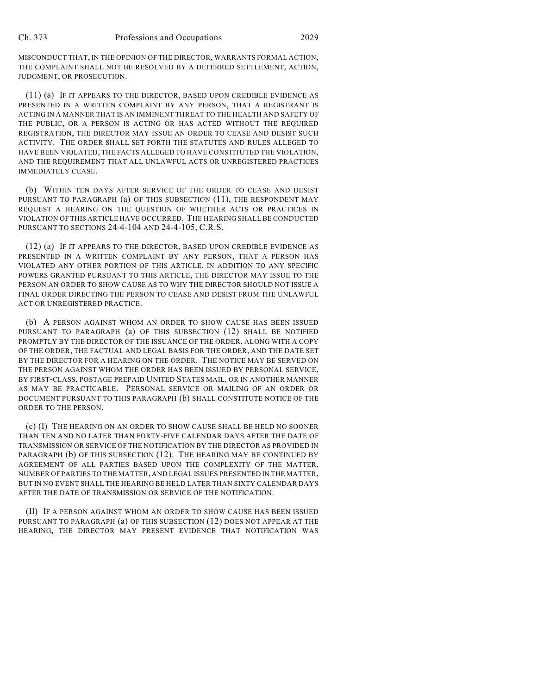MISCONDUCT THAT, IN THE OPINION OF THE DIRECTOR, WARRANTS FORMAL ACTION, THE COMPLAINT SHALL NOT BE RESOLVED BY A DEFERRED SETTLEMENT, ACTION, JUDGMENT, OR PROSECUTION.

(11) (a) IF IT APPEARS TO THE DIRECTOR, BASED UPON CREDIBLE EVIDENCE AS PRESENTED IN A WRITTEN COMPLAINT BY ANY PERSON, THAT A REGISTRANT IS ACTING IN A MANNER THAT IS AN IMMINENT THREAT TO THE HEALTH AND SAFETY OF THE PUBLIC, OR A PERSON IS ACTING OR HAS ACTED WITHOUT THE REQUIRED REGISTRATION, THE DIRECTOR MAY ISSUE AN ORDER TO CEASE AND DESIST SUCH ACTIVITY. THE ORDER SHALL SET FORTH THE STATUTES AND RULES ALLEGED TO HAVE BEEN VIOLATED, THE FACTS ALLEGED TO HAVE CONSTITUTED THE VIOLATION, AND THE REQUIREMENT THAT ALL UNLAWFUL ACTS OR UNREGISTERED PRACTICES IMMEDIATELY CEASE.

(b) WITHIN TEN DAYS AFTER SERVICE OF THE ORDER TO CEASE AND DESIST PURSUANT TO PARAGRAPH (a) OF THIS SUBSECTION (11), THE RESPONDENT MAY REQUEST A HEARING ON THE QUESTION OF WHETHER ACTS OR PRACTICES IN VIOLATION OF THIS ARTICLE HAVE OCCURRED. THE HEARING SHALL BE CONDUCTED PURSUANT TO SECTIONS 24-4-104 AND 24-4-105, C.R.S.

(12) (a) IF IT APPEARS TO THE DIRECTOR, BASED UPON CREDIBLE EVIDENCE AS PRESENTED IN A WRITTEN COMPLAINT BY ANY PERSON, THAT A PERSON HAS VIOLATED ANY OTHER PORTION OF THIS ARTICLE, IN ADDITION TO ANY SPECIFIC POWERS GRANTED PURSUANT TO THIS ARTICLE, THE DIRECTOR MAY ISSUE TO THE PERSON AN ORDER TO SHOW CAUSE AS TO WHY THE DIRECTOR SHOULD NOT ISSUE A FINAL ORDER DIRECTING THE PERSON TO CEASE AND DESIST FROM THE UNLAWFUL ACT OR UNREGISTERED PRACTICE.

(b) A PERSON AGAINST WHOM AN ORDER TO SHOW CAUSE HAS BEEN ISSUED PURSUANT TO PARAGRAPH (a) OF THIS SUBSECTION (12) SHALL BE NOTIFIED PROMPTLY BY THE DIRECTOR OF THE ISSUANCE OF THE ORDER, ALONG WITH A COPY OF THE ORDER, THE FACTUAL AND LEGAL BASIS FOR THE ORDER, AND THE DATE SET BY THE DIRECTOR FOR A HEARING ON THE ORDER. THE NOTICE MAY BE SERVED ON THE PERSON AGAINST WHOM THE ORDER HAS BEEN ISSUED BY PERSONAL SERVICE, BY FIRST-CLASS, POSTAGE PREPAID UNITED STATES MAIL, OR IN ANOTHER MANNER AS MAY BE PRACTICABLE. PERSONAL SERVICE OR MAILING OF AN ORDER OR DOCUMENT PURSUANT TO THIS PARAGRAPH (b) SHALL CONSTITUTE NOTICE OF THE ORDER TO THE PERSON.

(c) (I) THE HEARING ON AN ORDER TO SHOW CAUSE SHALL BE HELD NO SOONER THAN TEN AND NO LATER THAN FORTY-FIVE CALENDAR DAYS AFTER THE DATE OF TRANSMISSION OR SERVICE OF THE NOTIFICATION BY THE DIRECTOR AS PROVIDED IN PARAGRAPH (b) OF THIS SUBSECTION (12). THE HEARING MAY BE CONTINUED BY AGREEMENT OF ALL PARTIES BASED UPON THE COMPLEXITY OF THE MATTER, NUMBER OF PARTIES TO THE MATTER, AND LEGAL ISSUES PRESENTED IN THE MATTER, BUT IN NO EVENT SHALL THE HEARING BE HELD LATER THAN SIXTY CALENDAR DAYS AFTER THE DATE OF TRANSMISSION OR SERVICE OF THE NOTIFICATION.

(II) IF A PERSON AGAINST WHOM AN ORDER TO SHOW CAUSE HAS BEEN ISSUED PURSUANT TO PARAGRAPH (a) OF THIS SUBSECTION (12) DOES NOT APPEAR AT THE HEARING, THE DIRECTOR MAY PRESENT EVIDENCE THAT NOTIFICATION WAS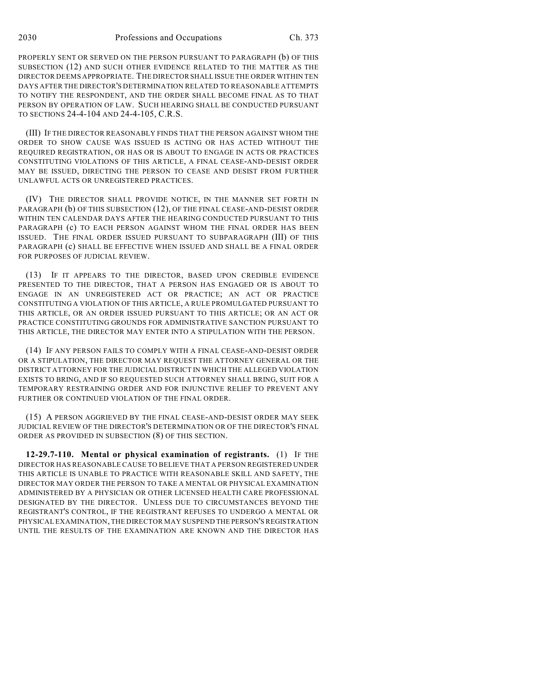PROPERLY SENT OR SERVED ON THE PERSON PURSUANT TO PARAGRAPH (b) OF THIS SUBSECTION (12) AND SUCH OTHER EVIDENCE RELATED TO THE MATTER AS THE DIRECTOR DEEMS APPROPRIATE. THE DIRECTOR SHALL ISSUE THE ORDER WITHIN TEN DAYS AFTER THE DIRECTOR'S DETERMINATION RELATED TO REASONABLE ATTEMPTS TO NOTIFY THE RESPONDENT, AND THE ORDER SHALL BECOME FINAL AS TO THAT PERSON BY OPERATION OF LAW. SUCH HEARING SHALL BE CONDUCTED PURSUANT TO SECTIONS 24-4-104 AND 24-4-105, C.R.S.

(III) IF THE DIRECTOR REASONABLY FINDS THAT THE PERSON AGAINST WHOM THE ORDER TO SHOW CAUSE WAS ISSUED IS ACTING OR HAS ACTED WITHOUT THE REQUIRED REGISTRATION, OR HAS OR IS ABOUT TO ENGAGE IN ACTS OR PRACTICES CONSTITUTING VIOLATIONS OF THIS ARTICLE, A FINAL CEASE-AND-DESIST ORDER MAY BE ISSUED, DIRECTING THE PERSON TO CEASE AND DESIST FROM FURTHER UNLAWFUL ACTS OR UNREGISTERED PRACTICES.

(IV) THE DIRECTOR SHALL PROVIDE NOTICE, IN THE MANNER SET FORTH IN PARAGRAPH (b) OF THIS SUBSECTION (12), OF THE FINAL CEASE-AND-DESIST ORDER WITHIN TEN CALENDAR DAYS AFTER THE HEARING CONDUCTED PURSUANT TO THIS PARAGRAPH (c) TO EACH PERSON AGAINST WHOM THE FINAL ORDER HAS BEEN ISSUED. THE FINAL ORDER ISSUED PURSUANT TO SUBPARAGRAPH (III) OF THIS PARAGRAPH (c) SHALL BE EFFECTIVE WHEN ISSUED AND SHALL BE A FINAL ORDER FOR PURPOSES OF JUDICIAL REVIEW.

(13) IF IT APPEARS TO THE DIRECTOR, BASED UPON CREDIBLE EVIDENCE PRESENTED TO THE DIRECTOR, THAT A PERSON HAS ENGAGED OR IS ABOUT TO ENGAGE IN AN UNREGISTERED ACT OR PRACTICE; AN ACT OR PRACTICE CONSTITUTING A VIOLATION OF THIS ARTICLE, A RULE PROMULGATED PURSUANT TO THIS ARTICLE, OR AN ORDER ISSUED PURSUANT TO THIS ARTICLE; OR AN ACT OR PRACTICE CONSTITUTING GROUNDS FOR ADMINISTRATIVE SANCTION PURSUANT TO THIS ARTICLE, THE DIRECTOR MAY ENTER INTO A STIPULATION WITH THE PERSON.

(14) IF ANY PERSON FAILS TO COMPLY WITH A FINAL CEASE-AND-DESIST ORDER OR A STIPULATION, THE DIRECTOR MAY REQUEST THE ATTORNEY GENERAL OR THE DISTRICT ATTORNEY FOR THE JUDICIAL DISTRICT IN WHICH THE ALLEGED VIOLATION EXISTS TO BRING, AND IF SO REQUESTED SUCH ATTORNEY SHALL BRING, SUIT FOR A TEMPORARY RESTRAINING ORDER AND FOR INJUNCTIVE RELIEF TO PREVENT ANY FURTHER OR CONTINUED VIOLATION OF THE FINAL ORDER.

(15) A PERSON AGGRIEVED BY THE FINAL CEASE-AND-DESIST ORDER MAY SEEK JUDICIAL REVIEW OF THE DIRECTOR'S DETERMINATION OR OF THE DIRECTOR'S FINAL ORDER AS PROVIDED IN SUBSECTION (8) OF THIS SECTION.

**12-29.7-110. Mental or physical examination of registrants.** (1) IF THE DIRECTOR HAS REASONABLE CAUSE TO BELIEVE THAT A PERSON REGISTERED UNDER THIS ARTICLE IS UNABLE TO PRACTICE WITH REASONABLE SKILL AND SAFETY, THE DIRECTOR MAY ORDER THE PERSON TO TAKE A MENTAL OR PHYSICAL EXAMINATION ADMINISTERED BY A PHYSICIAN OR OTHER LICENSED HEALTH CARE PROFESSIONAL DESIGNATED BY THE DIRECTOR. UNLESS DUE TO CIRCUMSTANCES BEYOND THE REGISTRANT'S CONTROL, IF THE REGISTRANT REFUSES TO UNDERGO A MENTAL OR PHYSICAL EXAMINATION, THE DIRECTOR MAY SUSPEND THE PERSON'S REGISTRATION UNTIL THE RESULTS OF THE EXAMINATION ARE KNOWN AND THE DIRECTOR HAS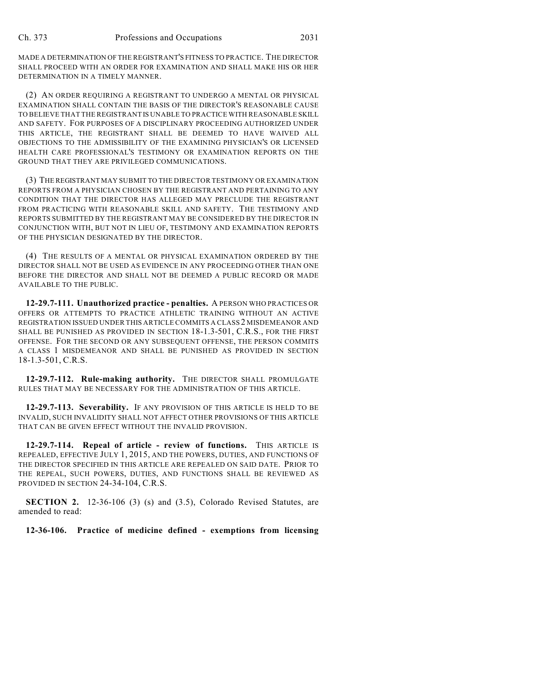MADE A DETERMINATION OF THE REGISTRANT'S FITNESS TO PRACTICE. THE DIRECTOR SHALL PROCEED WITH AN ORDER FOR EXAMINATION AND SHALL MAKE HIS OR HER DETERMINATION IN A TIMELY MANNER.

(2) AN ORDER REQUIRING A REGISTRANT TO UNDERGO A MENTAL OR PHYSICAL EXAMINATION SHALL CONTAIN THE BASIS OF THE DIRECTOR'S REASONABLE CAUSE TO BELIEVE THAT THE REGISTRANT IS UNABLE TO PRACTICE WITH REASONABLE SKILL AND SAFETY. FOR PURPOSES OF A DISCIPLINARY PROCEEDING AUTHORIZED UNDER THIS ARTICLE, THE REGISTRANT SHALL BE DEEMED TO HAVE WAIVED ALL OBJECTIONS TO THE ADMISSIBILITY OF THE EXAMINING PHYSICIAN'S OR LICENSED HEALTH CARE PROFESSIONAL'S TESTIMONY OR EXAMINATION REPORTS ON THE GROUND THAT THEY ARE PRIVILEGED COMMUNICATIONS.

(3) THE REGISTRANT MAY SUBMIT TO THE DIRECTOR TESTIMONY OR EXAMINATION REPORTS FROM A PHYSICIAN CHOSEN BY THE REGISTRANT AND PERTAINING TO ANY CONDITION THAT THE DIRECTOR HAS ALLEGED MAY PRECLUDE THE REGISTRANT FROM PRACTICING WITH REASONABLE SKILL AND SAFETY. THE TESTIMONY AND REPORTS SUBMITTED BY THE REGISTRANT MAY BE CONSIDERED BY THE DIRECTOR IN CONJUNCTION WITH, BUT NOT IN LIEU OF, TESTIMONY AND EXAMINATION REPORTS OF THE PHYSICIAN DESIGNATED BY THE DIRECTOR.

(4) THE RESULTS OF A MENTAL OR PHYSICAL EXAMINATION ORDERED BY THE DIRECTOR SHALL NOT BE USED AS EVIDENCE IN ANY PROCEEDING OTHER THAN ONE BEFORE THE DIRECTOR AND SHALL NOT BE DEEMED A PUBLIC RECORD OR MADE AVAILABLE TO THE PUBLIC.

**12-29.7-111. Unauthorized practice - penalties.** A PERSON WHO PRACTICES OR OFFERS OR ATTEMPTS TO PRACTICE ATHLETIC TRAINING WITHOUT AN ACTIVE REGISTRATION ISSUED UNDER THIS ARTICLE COMMITS A CLASS 2 MISDEMEANOR AND SHALL BE PUNISHED AS PROVIDED IN SECTION 18-1.3-501, C.R.S., FOR THE FIRST OFFENSE. FOR THE SECOND OR ANY SUBSEQUENT OFFENSE, THE PERSON COMMITS A CLASS 1 MISDEMEANOR AND SHALL BE PUNISHED AS PROVIDED IN SECTION 18-1.3-501, C.R.S.

**12-29.7-112. Rule-making authority.** THE DIRECTOR SHALL PROMULGATE RULES THAT MAY BE NECESSARY FOR THE ADMINISTRATION OF THIS ARTICLE.

**12-29.7-113. Severability.** IF ANY PROVISION OF THIS ARTICLE IS HELD TO BE INVALID, SUCH INVALIDITY SHALL NOT AFFECT OTHER PROVISIONS OF THIS ARTICLE THAT CAN BE GIVEN EFFECT WITHOUT THE INVALID PROVISION.

**12-29.7-114. Repeal of article - review of functions.** THIS ARTICLE IS REPEALED, EFFECTIVE JULY 1, 2015, AND THE POWERS, DUTIES, AND FUNCTIONS OF THE DIRECTOR SPECIFIED IN THIS ARTICLE ARE REPEALED ON SAID DATE. PRIOR TO THE REPEAL, SUCH POWERS, DUTIES, AND FUNCTIONS SHALL BE REVIEWED AS PROVIDED IN SECTION 24-34-104, C.R.S.

**SECTION 2.** 12-36-106 (3) (s) and (3.5), Colorado Revised Statutes, are amended to read:

**12-36-106. Practice of medicine defined - exemptions from licensing**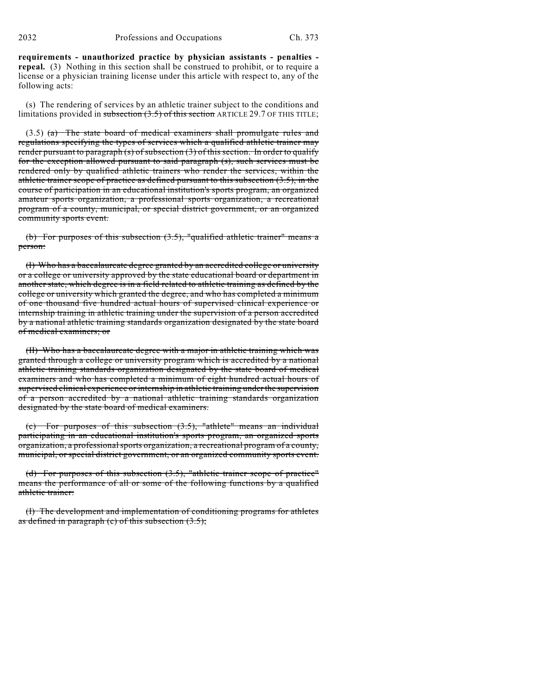**requirements - unauthorized practice by physician assistants - penalties repeal.** (3) Nothing in this section shall be construed to prohibit, or to require a license or a physician training license under this article with respect to, any of the following acts:

(s) The rendering of services by an athletic trainer subject to the conditions and limitations provided in subsection (3.5) of this section ARTICLE 29.7 OF THIS TITLE;

 $(3.5)$  (a) The state board of medical examiners shall promulgate rules and regulations specifying the types of services which a qualified athletic trainer may render pursuant to paragraph (s) of subsection (3) of this section. In order to qualify for the exception allowed pursuant to said paragraph (s), such services must be rendered only by qualified athletic trainers who render the services, within the athletic trainer scope of practice as defined pursuant to this subsection  $(3.5)$ , in the course of participation in an educational institution's sports program, an organized amateur sports organization, a professional sports organization, a recreational program of a county, municipal, or special district government, or an organized community sports event.

(b) For purposes of this subsection  $(3.5)$ , "qualified athletic trainer" means a person:

(I) Who has a baccalaureate degree granted by an accredited college or university or a college or university approved by the state educational board or department in another state, which degree is in a field related to athletic training as defined by the college or university which granted the degree, and who has completed a minimum of one thousand five hundred actual hours of supervised clinical experience or internship training in athletic training under the supervision of a person accredited by a national athletic training standards organization designated by the state board of medical examiners; or

(II) Who has a baccalaureate degree with a major in athletic training which was granted through a college or university program which is accredited by a national athletic training standards organization designated by the state board of medical examiners and who has completed a minimum of eight hundred actual hours of supervised clinical experience or internship in athletic training under the supervision of a person accredited by a national athletic training standards organization designated by the state board of medical examiners.

(c) For purposes of this subsection (3.5), "athlete" means an individual participating in an educational institution's sports program, an organized sports organization, a professional sports organization, a recreational program of a county, municipal, or special district government, or an organized community sports event.

(d) For purposes of this subsection (3.5), "athletic trainer scope of practice" means the performance of all or some of the following functions by a qualified athletic trainer:

(I) The development and implementation of conditioning programs for athletes as defined in paragraph (c) of this subsection  $(3.5)$ ;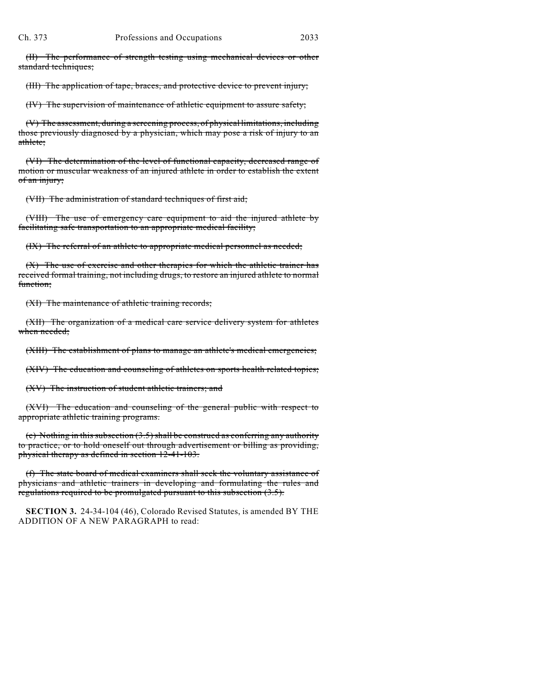(II) The performance of strength testing using mechanical devices or other standard techniques;

(III) The application of tape, braces, and protective device to prevent injury;

(IV) The supervision of maintenance of athletic equipment to assure safety;

(V) The assessment, during a screening process, of physical limitations, including those previously diagnosed by a physician, which may pose a risk of injury to an athlete;

(VI) The determination of the level of functional capacity, decreased range of motion or muscular weakness of an injured athlete in order to establish the extent of an injury;

(VII) The administration of standard techniques of first aid;

(VIII) The use of emergency care equipment to aid the injured athlete by facilitating safe transportation to an appropriate medical facility;

(IX) The referral of an athlete to appropriate medical personnel as needed;

(X) The use of exercise and other therapies for which the athletic trainer has received formal training, not including drugs, to restore an injured athlete to normal function;

(XI) The maintenance of athletic training records;

(XII) The organization of a medical care service delivery system for athletes when needed;

(XIII) The establishment of plans to manage an athlete's medical emergencies;

(XIV) The education and counseling of athletes on sports health related topics;

(XV) The instruction of student athletic trainers; and

(XVI) The education and counseling of the general public with respect to appropriate athletic training programs.

(e) Nothing in this subsection (3.5) shall be construed as conferring any authority to practice, or to hold oneself out through advertisement or billing as providing, physical therapy as defined in section 12-41-103.

(f) The state board of medical examiners shall seek the voluntary assistance of physicians and athletic trainers in developing and formulating the rules and regulations required to be promulgated pursuant to this subsection (3.5).

**SECTION 3.** 24-34-104 (46), Colorado Revised Statutes, is amended BY THE ADDITION OF A NEW PARAGRAPH to read: